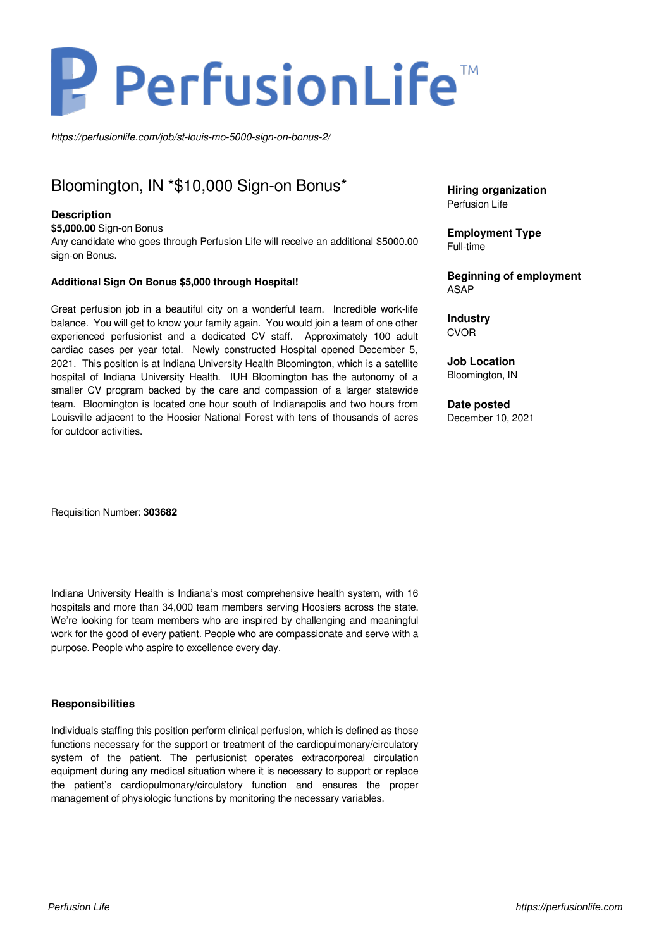# PerfusionLife<sup>™</sup>

*https://perfusionlife.com/job/st-louis-mo-5000-sign-on-bonus-2/*

## Bloomington, IN \*\$10,000 Sign-on Bonus\*

#### **Description**

**\$5,000.00** Sign-on Bonus

Any candidate who goes through Perfusion Life will receive an additional \$5000.00 sign-on Bonus.

#### **Additional Sign On Bonus \$5,000 through Hospital!**

Great perfusion job in a beautiful city on a wonderful team. Incredible work-life balance. You will get to know your family again. You would join a team of one other experienced perfusionist and a dedicated CV staff. Approximately 100 adult cardiac cases per year total. Newly constructed Hospital opened December 5, 2021. This position is at Indiana University Health Bloomington, which is a satellite hospital of Indiana University Health. IUH Bloomington has the autonomy of a smaller CV program backed by the care and compassion of a larger statewide team. Bloomington is located one hour south of Indianapolis and two hours from Louisville adjacent to the Hoosier National Forest with tens of thousands of acres for outdoor activities.

Requisition Number: **303682**

Indiana University Health is Indiana's most comprehensive health system, with 16 hospitals and more than 34,000 team members serving Hoosiers across the state. We're looking for team members who are inspired by challenging and meaningful work for the good of every patient. People who are compassionate and serve with a purpose. People who aspire to excellence every day.

### **Responsibilities**

Individuals staffing this position perform clinical perfusion, which is defined as those functions necessary for the support or treatment of the cardiopulmonary/circulatory system of the patient. The perfusionist operates extracorporeal circulation equipment during any medical situation where it is necessary to support or replace the patient's cardiopulmonary/circulatory function and ensures the proper management of physiologic functions by monitoring the necessary variables.

**Hiring organization** Perfusion Life

**Employment Type** Full-time

**Beginning of employment** ASAP

**Industry** CVOR

**Job Location** Bloomington, IN

**Date posted** December 10, 2021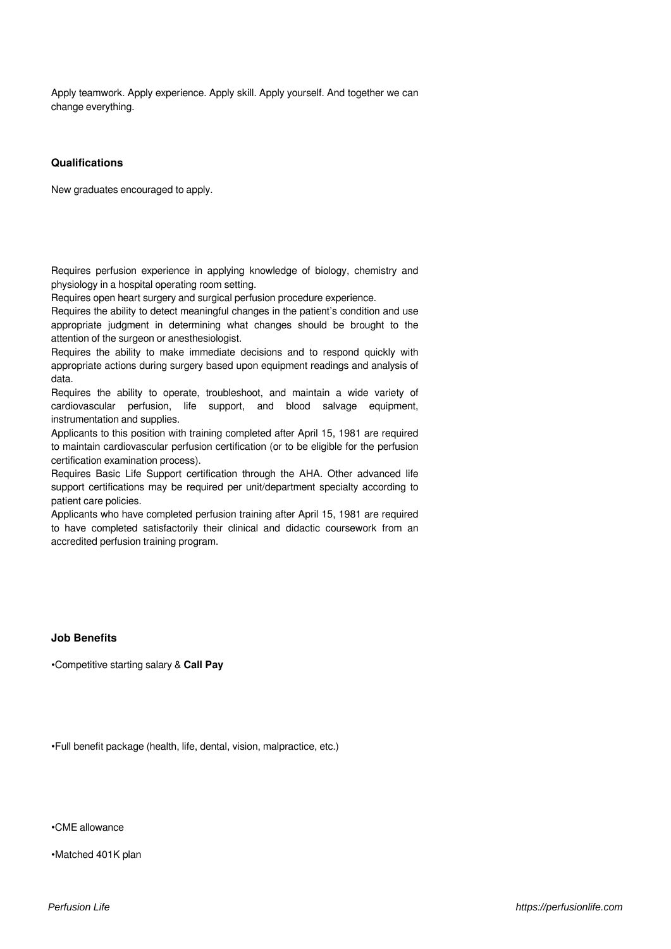Apply teamwork. Apply experience. Apply skill. Apply yourself. And together we can change everything.

#### **Qualifications**

New graduates encouraged to apply.

Requires perfusion experience in applying knowledge of biology, chemistry and physiology in a hospital operating room setting.

Requires open heart surgery and surgical perfusion procedure experience.

Requires the ability to detect meaningful changes in the patient's condition and use appropriate judgment in determining what changes should be brought to the attention of the surgeon or anesthesiologist.

Requires the ability to make immediate decisions and to respond quickly with appropriate actions during surgery based upon equipment readings and analysis of data.

Requires the ability to operate, troubleshoot, and maintain a wide variety of cardiovascular perfusion, life support, and blood salvage equipment, instrumentation and supplies.

Applicants to this position with training completed after April 15, 1981 are required to maintain cardiovascular perfusion certification (or to be eligible for the perfusion certification examination process).

Requires Basic Life Support certification through the AHA. Other advanced life support certifications may be required per unit/department specialty according to patient care policies.

Applicants who have completed perfusion training after April 15, 1981 are required to have completed satisfactorily their clinical and didactic coursework from an accredited perfusion training program.

#### **Job Benefits**

•Competitive starting salary & **Call Pay**

•Full benefit package (health, life, dental, vision, malpractice, etc.)

•CME allowance

•Matched 401K plan